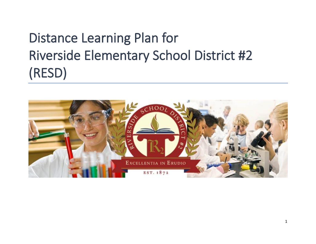# Distance Learning Plan for Riverside Elementary School District #2 (RESD)

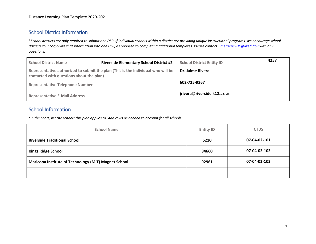# School District Information

\**School districts are only required to submit one DLP. If individual schools within a district are providing unique instructional programs, we encourage school districts to incorporate that information into one DLP, as opposed to completing additional templates. Please contact [EmergencyDL@azed.gov](mailto:EmergencyDL@azed.gov) with any questions.*

| <b>School District Name</b>              | <b>Riverside Elementary School District #2</b>                                   | <b>School District Entity ID</b> | 4257 |
|------------------------------------------|----------------------------------------------------------------------------------|----------------------------------|------|
| contacted with questions about the plan) | Representative authorized to submit the plan (This is the individual who will be | Dr. Jaime Rivera                 |      |
| <b>Representative Telephone Number</b>   |                                                                                  | 602-725-9367                     |      |
| <b>Representative E-Mail Address</b>     |                                                                                  | jrivera@riverside.k12.az.us      |      |

# School Information

\**In the chart, list the schools this plan applies to. Add rows as needed to account for all schools.*

| <b>School Name</b>                                   | <b>Entity ID</b> | <b>CTDS</b>  |
|------------------------------------------------------|------------------|--------------|
| <b>Riverside Traditional School</b>                  | 5210             | 07-04-02-101 |
| <b>Kings Ridge School</b>                            | 84660            | 07-04-02-102 |
| Maricopa Institute of Technology (MIT) Magnet School | 92961            | 07-04-02-103 |
|                                                      |                  |              |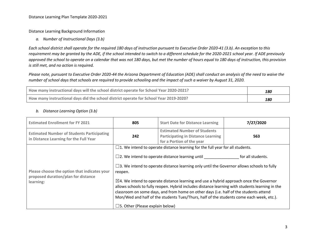Distance Learning Background Information

*a. Number of Instructional Days (3.b)*

*Each school district shall operate for the required 180 days of instruction pursuant to Executive Order 2020-41 (3.b). An exception to this requirement may be granted by the ADE, if the school intended to switch to a different schedule for the 2020-2021 school year. If ADE previously approved the school to operate on a calendar that was not 180 days, but met the number of hours equal to 180 days of instruction, this provision is still met, and no action is required.*

*Please note, pursuant to Executive Order 2020-44 the Arizona Department of Education (ADE) shall conduct an analysis of the need to waive the number of school days that schools are required to provide schooling and the impact of such a waiver by August 31, 2020.*

| How many instructional days will the school district operate for School Year 2020-2021? | 180 |
|-----------------------------------------------------------------------------------------|-----|
| How many instructional days did the school district operate for School Year 2019-2020?  | 180 |

| <b>Estimated Enrollment for FY 2021</b>                                                          | 805                                                  | <b>Start Date for Distance Learning</b>                                                                                                                                                                                                                                                                                                                                                                                                                                                                                                                                                                                                               | 7/27/2020         |  |
|--------------------------------------------------------------------------------------------------|------------------------------------------------------|-------------------------------------------------------------------------------------------------------------------------------------------------------------------------------------------------------------------------------------------------------------------------------------------------------------------------------------------------------------------------------------------------------------------------------------------------------------------------------------------------------------------------------------------------------------------------------------------------------------------------------------------------------|-------------------|--|
| <b>Estimated Number of Students Participating</b><br>in Distance Learning for the Full Year      | 242                                                  | <b>Estimated Number of Students</b><br><b>Participating in Distance Learning</b><br>for a Portion of the year                                                                                                                                                                                                                                                                                                                                                                                                                                                                                                                                         | 563               |  |
| Please choose the option that indicates your<br>proposed duration/plan for distance<br>learning: | reopen.<br>$\square$ 5. Other (Please explain below) | $\Box$ 1. We intend to operate distance learning for the full year for all students.<br>$\square$ 2. We intend to operate distance learning until<br>$\square$ 3. We intend to operate distance learning only until the Governor allows schools to fully<br>$\boxtimes$ 4. We intend to operate distance learning and use a hybrid approach once the Governor<br>allows schools to fully reopen. Hybrid includes distance learning with students learning in the<br>classroom on some days, and from home on other days (i.e. half of the students attend<br>Mon/Wed and half of the students Tues/Thurs, half of the students come each week, etc.). | for all students. |  |

#### *b. Distance Learning Option (3.b)*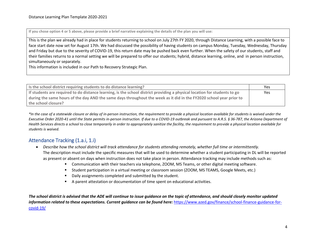**If you chose option 4 or 5 above, please provide a brief narrative explaining the details of the plan you will use:**

This is the plan we already had in place for students returning to school on July 27th FY 2020, through Distance Learning, with a possible face to face start date now set for August 17th. We had discussed the possibility of having students on campus Monday, Tuesday, Wednesday, Thursday and Friday but due to the severity of COVID-19, this return date may be pushed back even further. When the safety of our students, staff and their families returns to a normal setting we will be prepared to offer our students; hybrid, distance learning, online, and in person instruction, simultaneously or separately.

This information is included in our Path to Recovery Strategic Plan.

| Is the school district requiring students to do distance learning?                                                        | Yes |
|---------------------------------------------------------------------------------------------------------------------------|-----|
| If students are required to do distance learning, is the school district providing a physical location for students to go | Yes |
| during the same hours of the day AND the same days throughout the week as it did in the FY2020 school year prior to       |     |
| the school closure?                                                                                                       |     |

*\*In the case of a statewide closure or delay of in-person instruction, the requirement to provide a physical location available for students is waived under the Executive Order 2020-41 until the State permits in-person instruction. If due to a COVID-19 outbreak and pursuant to A.R.S. § 36-787, the Arizona Department of Health Services directs a school to close temporarily in order to appropriately sanitize the facility, the requirement to provide a physical location available for students is waived.* 

# Attendance Tracking (1.a.i, 1.i)

- *Describe how the school district will track attendance for students attending remotely, whether full time or intermittently.* The description must include the specific measures that will be used to determine whether a student participating in DL will be reported as present or absent on days when instruction does not take place in person. Attendance tracking may include methods such as:
	- Communication with their teachers via telephone, ZOOM, MS Teams, or other digital meeting software.
	- Student participation in a virtual meeting or classroom session (ZOOM, MS TEAMS, Google Meets, etc.)
	- Daily assignments completed and submitted by the student.
	- A parent attestation or documentation of time spent on educational activities.

*The school district is advised that the ADE will continue to issue guidance on the topic of attendance, and should closely monitor updated information related to these expectations. Current guidance can be found here:* [https://www.azed.gov/finance/school-finance-guidance-for](https://www.azed.gov/finance/school-finance-guidance-for-covid-19/)[covid-19/](https://www.azed.gov/finance/school-finance-guidance-for-covid-19/)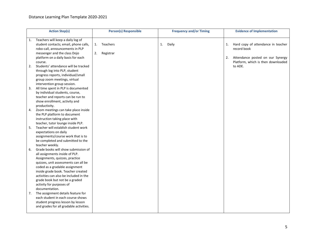|    | <b>Action Step(s)</b>                                                    |    | <b>Person(s) Responsible</b> |    | <b>Frequency and/or Timing</b> |    | <b>Evidence of Implementation</b>                 |
|----|--------------------------------------------------------------------------|----|------------------------------|----|--------------------------------|----|---------------------------------------------------|
| 1. | Teachers will keep a daily log of                                        |    |                              |    |                                |    |                                                   |
|    | student contacts; email, phone calls,<br>robo-call, announcements in PLP | 1. | Teachers                     | 1. | Daily                          | 1. | Hard copy of attendance in teacher<br>record book |
|    | messenger and the class Dojo                                             | 2. | Registrar                    |    |                                |    |                                                   |
|    | platform on a daily basis for each                                       |    |                              |    |                                | 2. | Attendance posted on our Synergy                  |
|    | course.                                                                  |    |                              |    |                                |    | Platform, which is then downloaded                |
| 2. | Students' attendance will be tracked                                     |    |                              |    |                                |    | to ADE.                                           |
|    | through log into PLP, student                                            |    |                              |    |                                |    |                                                   |
|    | progress reports, individual/small                                       |    |                              |    |                                |    |                                                   |
|    | group zoom meetings, virtual                                             |    |                              |    |                                |    |                                                   |
|    | intervention group session.                                              |    |                              |    |                                |    |                                                   |
| 3. | All time spent in PLP is documented                                      |    |                              |    |                                |    |                                                   |
|    | by individual students, course,                                          |    |                              |    |                                |    |                                                   |
|    | teacher and reports can be run to                                        |    |                              |    |                                |    |                                                   |
|    | show enrollment, activity and                                            |    |                              |    |                                |    |                                                   |
|    | productivity.<br>Zoom meetings can take place inside                     |    |                              |    |                                |    |                                                   |
| 4. | the PLP platform to document                                             |    |                              |    |                                |    |                                                   |
|    | instruction taking place with                                            |    |                              |    |                                |    |                                                   |
|    | teacher, tutor lounge inside PLP.                                        |    |                              |    |                                |    |                                                   |
| 5. | Teacher will establish student work                                      |    |                              |    |                                |    |                                                   |
|    | expectations on daily                                                    |    |                              |    |                                |    |                                                   |
|    | assignments/course work that is to                                       |    |                              |    |                                |    |                                                   |
|    | be completed and submitted to the                                        |    |                              |    |                                |    |                                                   |
|    | teacher weekly.                                                          |    |                              |    |                                |    |                                                   |
| 6. | Grade books will show submission of                                      |    |                              |    |                                |    |                                                   |
|    | all assignments inside of PLP.                                           |    |                              |    |                                |    |                                                   |
|    | Assignments, quizzes, practice                                           |    |                              |    |                                |    |                                                   |
|    | quizzes, unit assessments can all be                                     |    |                              |    |                                |    |                                                   |
|    | coded as a gradable assignment                                           |    |                              |    |                                |    |                                                   |
|    | inside grade book. Teacher created                                       |    |                              |    |                                |    |                                                   |
|    | activities can also be included in the                                   |    |                              |    |                                |    |                                                   |
|    | grade book but not be a graded                                           |    |                              |    |                                |    |                                                   |
|    | activity for purposes of                                                 |    |                              |    |                                |    |                                                   |
|    | documentation.                                                           |    |                              |    |                                |    |                                                   |
| 7. | The assignment details feature for                                       |    |                              |    |                                |    |                                                   |
|    | each student in each course shows                                        |    |                              |    |                                |    |                                                   |
|    | student progress lesson by lesson                                        |    |                              |    |                                |    |                                                   |
|    | and grades for all gradable activities.                                  |    |                              |    |                                |    |                                                   |
|    |                                                                          |    |                              |    |                                |    |                                                   |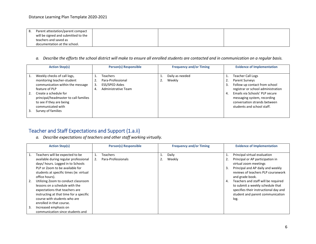| -8. | Parent attestation/parent compact   |  |  |
|-----|-------------------------------------|--|--|
|     | will be signed and submitted to the |  |  |
|     | teachers and saved as               |  |  |
|     | documentation at the school.        |  |  |

*a. Describe the efforts the school district will make to ensure all enrolled students are contacted and in communication on a regular basis.* 

|    | <b>Action Step(s)</b>                 |    | Person(s) Responsible | <b>Frequency and/or Timing</b> |    | <b>Evidence of Implementation</b>  |
|----|---------------------------------------|----|-----------------------|--------------------------------|----|------------------------------------|
|    |                                       |    |                       |                                |    |                                    |
|    | Weekly checks of call logs,           |    | <b>Teachers</b>       | Daily as needed                |    | <b>Teacher Call Logs</b>           |
|    | monitoring teacher-student            |    | Para-Professional     | Weekly                         |    | Parent Surveys                     |
|    | communication within the message      |    | ESS/SPED Aides        |                                |    | Follow up contact from school      |
|    | feature of PLP                        | 4. | Administrative Team   |                                |    | registrar or school administration |
| 2. | Create a schedule for                 |    |                       |                                | 4. | Emails via Schools' PLP secure     |
|    | principal/headmaster to call families |    |                       |                                |    | messaging system, recording        |
|    | to see if they are being              |    |                       |                                |    | conversation strands between       |
|    | communicated with                     |    |                       |                                |    | students and school staff.         |
|    | Survey of families                    |    |                       |                                |    |                                    |
|    |                                       |    |                       |                                |    |                                    |

# Teacher and Staff Expectations and Support (1.a.ii)

*a. Describe expectations of teachers and other staff working virtually.*

|    | <b>Action Step(s)</b>                                                                                                                                                                                          | <b>Person(s) Responsible</b>          |          | <b>Frequency and/or Timing</b> |    | <b>Evidence of Implementation</b>                                                                                                                                                       |
|----|----------------------------------------------------------------------------------------------------------------------------------------------------------------------------------------------------------------|---------------------------------------|----------|--------------------------------|----|-----------------------------------------------------------------------------------------------------------------------------------------------------------------------------------------|
|    | Teachers will be expected to be<br>available during regular professional<br>days/ hours. Logged in to Schools<br>PLP or Zoom to be available for<br>students at specific times (ie: virtual<br>office hours).  | <b>Teachers</b><br>Para-Professionals | ı.<br>2. | Daily<br>Weekly                | 3. | Principal virtual evaluation<br>Principal or AP participation in<br>virtual zoom meetings<br>Principal and AP daily and weekly<br>reviews of teachers PLP coursework<br>and grade book. |
| 2. | Utilizing Zoom to conduct classroom<br>lessons on a schedule with the<br>expectations that teachers are<br>instructing at that time for a specific<br>course with students who are<br>enrolled in that course. |                                       |          |                                | 4. | Teachers and staff will be required<br>to submit a weekly schedule that<br>specifies their instructional day and<br>student and parent communication<br>log.                            |
| 3. | Increased emphasis on<br>communication since students and                                                                                                                                                      |                                       |          |                                |    |                                                                                                                                                                                         |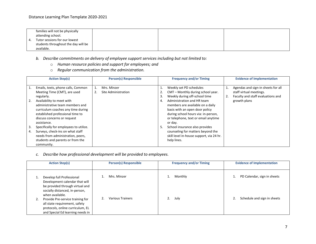|    | families will not be physically<br>attending school. |  |  |
|----|------------------------------------------------------|--|--|
| 4. | Tutor sessions for our lowest                        |  |  |
|    | students throughout the day will be<br>available.    |  |  |

- *b. Describe commitments on delivery of employee support services including but not limited to:*
	- o *Human resource policies and support for employees; and*
	- o *Regular communication from the administration.*

|          | <b>Action Step(s)</b>                                                                                                                                                                | <b>Person(s) Responsible</b>       |                | <b>Frequency and/or Timing</b>                                                                                                                                                            |    | <b>Evidence of Implementation</b>                                                                  |
|----------|--------------------------------------------------------------------------------------------------------------------------------------------------------------------------------------|------------------------------------|----------------|-------------------------------------------------------------------------------------------------------------------------------------------------------------------------------------------|----|----------------------------------------------------------------------------------------------------|
| 1.       | Emails, texts, phone calls, Common<br>Meeting Time (CMT), are used<br>regularly.                                                                                                     | Mrs. Minzer<br>Site Administration | 1.<br>2.<br>3. | Weekly set PD schedules<br>CMT - Monthly during school year.<br>Weekly during off-school time                                                                                             | 2. | Agendas and sign-in sheets for all<br>staff virtual meetings.<br>Faculty and staff evaluations and |
| 2.       | Availability to meet with<br>administrative team members and<br>curriculum coaches any time during<br>established professional time to<br>discuss concerns or request<br>assistance. |                                    | 4.             | Administration and HR team<br>members are available on a daily<br>basis with an open door policy<br>during school hours via: in-person,<br>or telephone, text or email anytime<br>or day. |    | growth plans                                                                                       |
| 3.<br>4. | Specifically for employees to utilize.<br>Surveys, check-ins on what staff<br>needs from administration, peers,<br>students and parents or from the<br>community.                    |                                    | 5.             | School insurance also provides<br>counseling for matters beyond the<br>skill level in-house support, via 24 hr.<br>help lines.                                                            |    |                                                                                                    |

*c. Describe how professional development will be provided to employees.*

| <b>Action Step(s)</b>                                                                                                                               | <b>Person(s) Responsible</b> | <b>Frequency and/or Timing</b> | <b>Evidence of Implementation</b> |
|-----------------------------------------------------------------------------------------------------------------------------------------------------|------------------------------|--------------------------------|-----------------------------------|
| Develop full Professional<br>Development calendar that will<br>be provided through virtual and<br>socially distanced, in-person,<br>when available. | Mrs. Minzer                  | Monthly                        | PD Calendar, sign in sheets       |
| Provide Pre-service training for<br>all state requirement, safety<br>protocols, online curriculum, EL<br>and Special Ed learning needs in           | <b>Various Trainers</b>      | 2.<br>July                     | Schedule and sign in sheets       |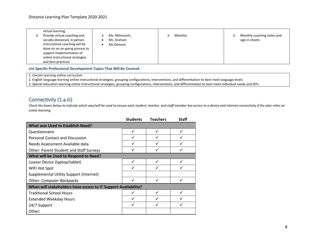| virtual learning.<br>Provide virtual coaching and<br>socially distanced, in-person<br>instructional coaching will be<br>done on an on-going process to<br>support implementation of<br>online instructional strategies<br>and best practices. | Ms. Milinovich,<br>Ms. Graham<br>Ms.Gilmore | Monthly | Monthly coaching notes and<br>sign in sheets |
|-----------------------------------------------------------------------------------------------------------------------------------------------------------------------------------------------------------------------------------------------|---------------------------------------------|---------|----------------------------------------------|
|                                                                                                                                                                                                                                               |                                             |         |                                              |

**List Specific Professional Development Topics That Will Be Covered**

1. Lincoln Learning online curriculum

2. English language learning online instructional strategies, grouping configurations, interventions, and differentiation to best meet language levels

3. Special education learning online instructional strategies, grouping configurations, interventions, and differentiation to best meet individual needs and IEPs.

## Connectivity (1.a.iii)

*Check the boxes below to indicate which was/will be used to ensure each student, teacher, and staff member has access to a device and internet connectivity if the plan relies on online learning.*

|                                                                | <b>Students</b> | <b>Teachers</b> | <b>Staff</b> |
|----------------------------------------------------------------|-----------------|-----------------|--------------|
| <b>What was Used to Establish Need?</b>                        |                 |                 |              |
| Questionnaire                                                  | ✓               | ✓               | ✓            |
| Personal Contact and Discussion                                |                 |                 |              |
| Needs Assessment-Available data                                |                 | ✓               |              |
| <b>Other: Parent-Student and Staff Surveys</b>                 |                 | ✓               |              |
| What will be Used to Respond to Need?                          |                 |                 |              |
| Loaner Device (laptop/tablet)                                  | ✓               | ✓               |              |
| WIFI Hot Spot                                                  |                 |                 |              |
| <b>Supplemental Utility Support (Internet)</b>                 |                 |                 |              |
| <b>Other: Computer Backpacks</b>                               |                 | ✓               |              |
| When will stakeholders have access to IT Support Availability? |                 |                 |              |
| <b>Traditional School Hours</b>                                |                 | ✓               |              |
| <b>Extended Weekday Hours</b>                                  | ✓               | ✓               |              |
| 24/7 Support                                                   |                 |                 |              |
| Other:                                                         |                 |                 |              |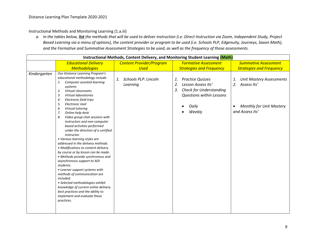Instructional Methods and Monitoring Learning (1.a.iii)

*a. In the tables below, list the methods that will be used to deliver instruction (i.e. Direct Instruction via Zoom, Independent Study, Project Based Learning via a menu of options), the content provider or program to be used (i.e. Schools PLP, Edgenuity, Journeys, Saxon Math), and the Formative and Summative Assessment Strategies to be used, as well as the frequency of those assessments.*

|                                                              | Instructional Methods, Content Delivery, and Monitoring Student Learning (Math)                                                                                                                                                                                                                                                                                                                                                                                                                                                                                                                                                                                                                                                                                                                                                                                                                 |                                               |                                                                                                                                                  |                                                                                                                               |  |  |  |  |
|--------------------------------------------------------------|-------------------------------------------------------------------------------------------------------------------------------------------------------------------------------------------------------------------------------------------------------------------------------------------------------------------------------------------------------------------------------------------------------------------------------------------------------------------------------------------------------------------------------------------------------------------------------------------------------------------------------------------------------------------------------------------------------------------------------------------------------------------------------------------------------------------------------------------------------------------------------------------------|-----------------------------------------------|--------------------------------------------------------------------------------------------------------------------------------------------------|-------------------------------------------------------------------------------------------------------------------------------|--|--|--|--|
|                                                              | <b>Educational Delivery</b>                                                                                                                                                                                                                                                                                                                                                                                                                                                                                                                                                                                                                                                                                                                                                                                                                                                                     | <b>Content Provider/Program</b>               | <b>Formative Assessment</b>                                                                                                                      | <b>Summative Assessment</b>                                                                                                   |  |  |  |  |
|                                                              | <b>Methodologies</b>                                                                                                                                                                                                                                                                                                                                                                                                                                                                                                                                                                                                                                                                                                                                                                                                                                                                            | <b>Used</b>                                   | <b>Strategies and Frequency</b>                                                                                                                  | <b>Strategies and Frequency</b>                                                                                               |  |  |  |  |
| Kindergarten<br>1.<br>2.<br>3.<br>4.<br>5.<br>6.<br>7.<br>8. | Our Distance Learning Program's<br>educational methodology include:<br>Computer assisted learning<br>systems<br>Virtual classrooms<br><b>Virtual laboratories</b><br>Electronic field trips<br>Electronic mail<br>Virtual tutoring<br>Online help desk<br>Video group chat sessions with<br>instructors and non-computer<br>based activities performed<br>under the direction of a certified<br>instructor.<br>• Various learning styles are<br>addressed in the delivery methods.<br>• Modifications to content delivery<br>by course or by lesson can be made.<br>• Methods provide synchronous and<br>asynchronous support to AOI<br>students.<br>• Learner support systems with<br>methods of communication are<br>included.<br>· Selected methodologies exhibit<br>knowledge of current online delivery<br>best practices and the ability to<br>implement and evaluate these<br>practices. | <b>Schools PLP: Lincoln</b><br>1.<br>Learning | <b>Practice Quizzes</b><br>1.<br>Lesson Assess Its'<br>2.<br><b>Check for Understanding</b><br>3.<br>Questions within Lessons<br>Daily<br>Weekly | <b>Unit Mastery Assessments</b><br>1.<br>2.<br>Assess Its'<br><b>Monthly for Unit Mastery</b><br>$\bullet$<br>and Assess Its' |  |  |  |  |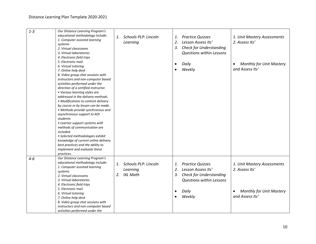| $1 - 3$ | Our Distance Learning Program's<br>educational methodology include:<br>1. Computer assisted learning<br>systems<br>2. Virtual classrooms<br>3. Virtual laboratories<br>4. Electronic field trips<br>5. Electronic mail<br>6. Virtual tutoring<br>7. Online help desk<br>8. Video group chat sessions with<br>instructors and non-computer based<br>activities performed under the<br>direction of a certified instructor.<br>• Various learning styles are<br>addressed in the delivery methods.<br>• Modifications to content delivery<br>by course or by lesson can be made.<br>• Methods provide synchronous and<br>asynchronous support to AOI |          | <b>Schools PLP: Lincoln</b><br>1.<br>Learning              |                                          | <b>Practice Quizzes</b><br>Lesson Assess Its'<br><b>Check for Understanding</b><br>Questions within Lessons<br>Daily<br>Weekly        | 1. Unit Mastery Assessments<br>2. Assess Its'<br><b>Monthly for Unit Mastery</b><br>and Assess Its' |  |
|---------|----------------------------------------------------------------------------------------------------------------------------------------------------------------------------------------------------------------------------------------------------------------------------------------------------------------------------------------------------------------------------------------------------------------------------------------------------------------------------------------------------------------------------------------------------------------------------------------------------------------------------------------------------|----------|------------------------------------------------------------|------------------------------------------|---------------------------------------------------------------------------------------------------------------------------------------|-----------------------------------------------------------------------------------------------------|--|
|         | students.<br>• Learner support systems with<br>methods of communication are<br>included.<br>· Selected methodologies exhibit<br>knowledge of current online delivery<br>best practices and the ability to<br>implement and evaluate these<br>practices.                                                                                                                                                                                                                                                                                                                                                                                            |          |                                                            |                                          |                                                                                                                                       |                                                                                                     |  |
| $4 - 6$ | Our Distance Learning Program's<br>educational methodology include:<br>1. Computer assisted learning<br>systems<br>2. Virtual classrooms<br>3. Virtual laboratories<br>4. Electronic field trips<br>5. Electronic mail<br>6. Virtual tutoring<br>7. Online help desk<br>8. Video group chat sessions with<br>instructors and non-computer based<br>activities performed under the                                                                                                                                                                                                                                                                  | 1.<br>2. | <b>Schools PLP: Lincoln</b><br>Learning<br><b>IXL Math</b> | 1.<br>2.<br>3.<br>$\bullet$<br>$\bullet$ | <b>Practice Quizzes</b><br>Lesson Assess Its'<br><b>Check for Understanding</b><br><b>Questions within Lessons</b><br>Daily<br>Weekly | 1. Unit Mastery Assessments<br>2. Assess Its'<br><b>Monthly for Unit Mastery</b><br>and Assess Its' |  |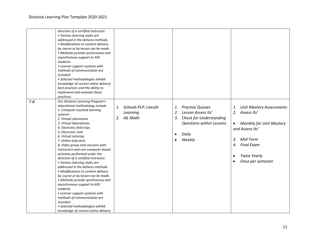|         | direction of a certified instructor. |    |                             |           |                                 |           |                                 |
|---------|--------------------------------------|----|-----------------------------|-----------|---------------------------------|-----------|---------------------------------|
|         | • Various learning styles are        |    |                             |           |                                 |           |                                 |
|         | addressed in the delivery methods.   |    |                             |           |                                 |           |                                 |
|         | • Modifications to content delivery  |    |                             |           |                                 |           |                                 |
|         | by course or by lesson can be made.  |    |                             |           |                                 |           |                                 |
|         | • Methods provide synchronous and    |    |                             |           |                                 |           |                                 |
|         | asynchronous support to AOI          |    |                             |           |                                 |           |                                 |
|         | students.                            |    |                             |           |                                 |           |                                 |
|         | • Learner support systems with       |    |                             |           |                                 |           |                                 |
|         | methods of communication are         |    |                             |           |                                 |           |                                 |
|         | included.                            |    |                             |           |                                 |           |                                 |
|         | · Selected methodologies exhibit     |    |                             |           |                                 |           |                                 |
|         | knowledge of current online delivery |    |                             |           |                                 |           |                                 |
|         | best practices and the ability to    |    |                             |           |                                 |           |                                 |
|         | implement and evaluate these         |    |                             |           |                                 |           |                                 |
|         | practices.                           |    |                             |           |                                 |           |                                 |
| $7 - 8$ | Our Distance Learning Program's      |    |                             |           |                                 |           |                                 |
|         | educational methodology include:     | 1. | <b>Schools PLP: Lincoln</b> | 1.        | <b>Practice Quizzes</b>         | 1.        | <b>Unit Mastery Assessments</b> |
|         | 1. Computer assisted learning        |    |                             |           | Lesson Assess Its'              |           | Assess Its'                     |
|         | systems                              |    | Learning                    | 2.        |                                 | 2.        |                                 |
|         | 2. Virtual classrooms                | 2. | IXL Math                    | 3.        | <b>Check for Understanding</b>  |           |                                 |
|         | 3. Virtual laboratories              |    |                             |           | <b>Questions within Lessons</b> | $\bullet$ | <b>Monthly for Unit Mastery</b> |
|         | 4. Electronic field trips            |    |                             |           |                                 |           | and Assess Its'                 |
|         | 5. Electronic mail                   |    |                             | $\bullet$ | Daily                           |           |                                 |
|         | 6. Virtual tutoring                  |    |                             |           |                                 |           |                                 |
|         | 7. Online help desk                  |    |                             | $\bullet$ | Weekly                          | 3.        | Mid-Term                        |
|         | 8. Video group chat sessions with    |    |                             |           |                                 | 4.        | <b>Final Exam</b>               |
|         | instructors and non-computer based   |    |                             |           |                                 |           |                                 |
|         | activities performed under the       |    |                             |           |                                 | $\bullet$ | <b>Twice Yearly</b>             |
|         | direction of a certified instructor. |    |                             |           |                                 |           |                                 |
|         | • Various learning styles are        |    |                             |           |                                 |           | Once per semester               |
|         | addressed in the delivery methods.   |    |                             |           |                                 |           |                                 |
|         | • Modifications to content delivery  |    |                             |           |                                 |           |                                 |
|         | by course or by lesson can be made.  |    |                             |           |                                 |           |                                 |
|         | • Methods provide synchronous and    |    |                             |           |                                 |           |                                 |
|         | asynchronous support to AOI          |    |                             |           |                                 |           |                                 |
|         | students.                            |    |                             |           |                                 |           |                                 |
|         | • Learner support systems with       |    |                             |           |                                 |           |                                 |
|         | methods of communication are         |    |                             |           |                                 |           |                                 |
|         | included.                            |    |                             |           |                                 |           |                                 |
|         | • Selected methodologies exhibit     |    |                             |           |                                 |           |                                 |
|         | knowledge of current online delivery |    |                             |           |                                 |           |                                 |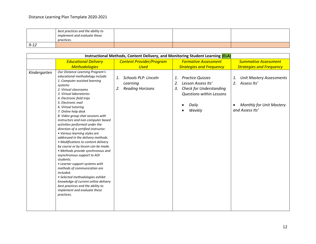|          | best practices and the ability to<br>implement and evaluate these<br>practices. |  |  |
|----------|---------------------------------------------------------------------------------|--|--|
| $9 - 12$ |                                                                                 |  |  |

| Instructional Methods, Content Delivery, and Monitoring Student Learning (ELA) |                                                                                                                                                                                                                                                                                                                                                                                                                                                                                                                                                                                                                                                                                                                                                                                                                                                                                                               |                                                                                |                                                                                                                                                  |                                                                                                                  |  |  |  |
|--------------------------------------------------------------------------------|---------------------------------------------------------------------------------------------------------------------------------------------------------------------------------------------------------------------------------------------------------------------------------------------------------------------------------------------------------------------------------------------------------------------------------------------------------------------------------------------------------------------------------------------------------------------------------------------------------------------------------------------------------------------------------------------------------------------------------------------------------------------------------------------------------------------------------------------------------------------------------------------------------------|--------------------------------------------------------------------------------|--------------------------------------------------------------------------------------------------------------------------------------------------|------------------------------------------------------------------------------------------------------------------|--|--|--|
|                                                                                | <b>Educational Delivery</b>                                                                                                                                                                                                                                                                                                                                                                                                                                                                                                                                                                                                                                                                                                                                                                                                                                                                                   | <b>Content Provider/Program</b>                                                | <b>Formative Assessment</b>                                                                                                                      | <b>Summative Assessment</b>                                                                                      |  |  |  |
|                                                                                | <b>Methodologies</b>                                                                                                                                                                                                                                                                                                                                                                                                                                                                                                                                                                                                                                                                                                                                                                                                                                                                                          | <b>Used</b>                                                                    | <b>Strategies and Frequency</b>                                                                                                                  | <b>Strategies and Frequency</b>                                                                                  |  |  |  |
| Kindergarten                                                                   | Our Distance Learning Program's<br>educational methodology include:<br>1. Computer assisted learning<br>systems<br>2. Virtual classrooms<br>3. Virtual laboratories<br>4. Electronic field trips<br>5. Electronic mail<br>6. Virtual tutoring<br>7. Online help desk<br>8. Video group chat sessions with<br>instructors and non-computer based<br>activities performed under the<br>direction of a certified instructor.<br>• Various learning styles are<br>addressed in the delivery methods.<br>• Modifications to content delivery<br>by course or by lesson can be made.<br>• Methods provide synchronous and<br>asynchronous support to AOI<br>students.<br>• Learner support systems with<br>methods of communication are<br>included.<br>· Selected methodologies exhibit<br>knowledge of current online delivery<br>best practices and the ability to<br>implement and evaluate these<br>practices. | <b>Schools PLP: Lincoln</b><br>1.<br>Learning<br><b>Reading Horizons</b><br>2. | <b>Practice Quizzes</b><br>1.<br>Lesson Assess Its'<br>2.<br><b>Check for Understanding</b><br>3.<br>Questions within Lessons<br>Daily<br>Weekly | 1.<br><b>Unit Mastery Assessments</b><br>2.<br>Assess Its'<br><b>Monthly for Unit Mastery</b><br>and Assess Its' |  |  |  |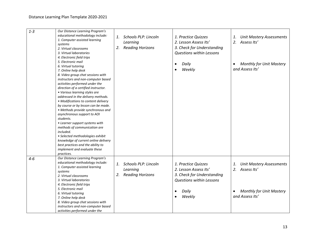| $1 - 3$ | Our Distance Learning Program's<br>educational methodology include:<br>1. Computer assisted learning<br>systems<br>2. Virtual classrooms<br>3. Virtual laboratories<br>4. Electronic field trips<br>5. Electronic mail<br>6. Virtual tutoring<br>7. Online help desk<br>8. Video group chat sessions with<br>instructors and non-computer based<br>activities performed under the<br>direction of a certified instructor.<br>• Various learning styles are | 2.       | 1. Schools PLP: Lincoln<br>Learning<br><b>Reading Horizons</b> | 1. Practice Quizzes<br>2. Lesson Assess Its'<br>3. Check for Understanding<br>Questions within Lessons<br>Daily<br>$\bullet$<br>Weekly        | <b>Unit Mastery Assessments</b><br>1.<br>Assess Its'<br>2.<br><b>Monthly for Unit Mastery</b><br>and Assess Its' |
|---------|------------------------------------------------------------------------------------------------------------------------------------------------------------------------------------------------------------------------------------------------------------------------------------------------------------------------------------------------------------------------------------------------------------------------------------------------------------|----------|----------------------------------------------------------------|-----------------------------------------------------------------------------------------------------------------------------------------------|------------------------------------------------------------------------------------------------------------------|
|         | addressed in the delivery methods.<br>• Modifications to content delivery<br>by course or by lesson can be made.<br>• Methods provide synchronous and<br>asynchronous support to AOI<br>students.<br>• Learner support systems with<br>methods of communication are<br>included.<br>· Selected methodologies exhibit<br>knowledge of current online delivery<br>best practices and the ability to<br>implement and evaluate these<br>practices.            |          |                                                                |                                                                                                                                               |                                                                                                                  |
| $4-6$   | Our Distance Learning Program's<br>educational methodology include:<br>1. Computer assisted learning<br>systems<br>2. Virtual classrooms<br>3. Virtual laboratories<br>4. Electronic field trips<br>5. Electronic mail<br>6. Virtual tutoring<br>7. Online help desk<br>8. Video group chat sessions with<br>instructors and non-computer based<br>activities performed under the                                                                          | 1.<br>2. | Schools PLP: Lincoln<br>Learning<br><b>Reading Horizons</b>    | 1. Practice Quizzes<br>2. Lesson Assess Its'<br>3. Check for Understanding<br><b>Questions within Lessons</b><br>Daily<br>$\bullet$<br>Weekly | <b>Unit Mastery Assessments</b><br>1.<br>2. Assess Its'<br><b>Monthly for Unit Mastery</b><br>and Assess Its'    |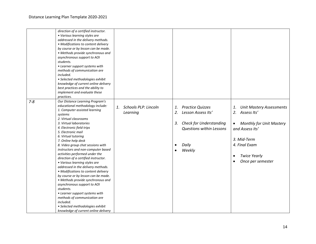|         | direction of a certified instructor.<br>• Various learning styles are |                         |                                      |                                              |
|---------|-----------------------------------------------------------------------|-------------------------|--------------------------------------|----------------------------------------------|
|         | addressed in the delivery methods.                                    |                         |                                      |                                              |
|         | • Modifications to content delivery                                   |                         |                                      |                                              |
|         |                                                                       |                         |                                      |                                              |
|         | by course or by lesson can be made.                                   |                         |                                      |                                              |
|         | • Methods provide synchronous and                                     |                         |                                      |                                              |
|         | asynchronous support to AOI                                           |                         |                                      |                                              |
|         | students.                                                             |                         |                                      |                                              |
|         | • Learner support systems with                                        |                         |                                      |                                              |
|         | methods of communication are                                          |                         |                                      |                                              |
|         | included.                                                             |                         |                                      |                                              |
|         | · Selected methodologies exhibit                                      |                         |                                      |                                              |
|         | knowledge of current online delivery                                  |                         |                                      |                                              |
|         | best practices and the ability to                                     |                         |                                      |                                              |
|         | implement and evaluate these                                          |                         |                                      |                                              |
|         | practices.                                                            |                         |                                      |                                              |
| $7 - 8$ | Our Distance Learning Program's                                       |                         |                                      |                                              |
|         | educational methodology include:                                      | 1. Schools PLP: Lincoln | <b>Practice Quizzes</b><br>1.        | <b>Unit Mastery Assessments</b><br>1.        |
|         | 1. Computer assisted learning                                         |                         |                                      |                                              |
|         | systems                                                               | Learning                | Lesson Assess Its'<br>2.             | 2. Assess Its'                               |
|         | 2. Virtual classrooms                                                 |                         |                                      |                                              |
|         | 3. Virtual laboratories                                               |                         | <b>Check for Understanding</b><br>3. | <b>Monthly for Unit Mastery</b><br>$\bullet$ |
|         | 4. Electronic field trips                                             |                         | Questions within Lessons             | and Assess Its'                              |
|         | 5. Electronic mail                                                    |                         |                                      |                                              |
|         | 6. Virtual tutoring                                                   |                         |                                      |                                              |
|         | 7. Online help desk                                                   |                         |                                      | 3. Mid-Term                                  |
|         | 8. Video group chat sessions with                                     |                         | Daily<br>$\bullet$                   | 4. Final Exam                                |
|         | instructors and non-computer based                                    |                         |                                      |                                              |
|         | activities performed under the                                        |                         | Weekly<br>$\bullet$                  |                                              |
|         | direction of a certified instructor.                                  |                         |                                      | <b>Twice Yearly</b><br>$\bullet$             |
|         | • Various learning styles are                                         |                         |                                      | Once per semester                            |
|         | addressed in the delivery methods.                                    |                         |                                      |                                              |
|         | • Modifications to content delivery                                   |                         |                                      |                                              |
|         |                                                                       |                         |                                      |                                              |
|         | by course or by lesson can be made.                                   |                         |                                      |                                              |
|         | • Methods provide synchronous and                                     |                         |                                      |                                              |
|         | asynchronous support to AOI                                           |                         |                                      |                                              |
|         | students.                                                             |                         |                                      |                                              |
|         | • Learner support systems with                                        |                         |                                      |                                              |
|         | methods of communication are                                          |                         |                                      |                                              |
|         | included.                                                             |                         |                                      |                                              |
|         | • Selected methodologies exhibit                                      |                         |                                      |                                              |
|         | knowledge of current online delivery                                  |                         |                                      |                                              |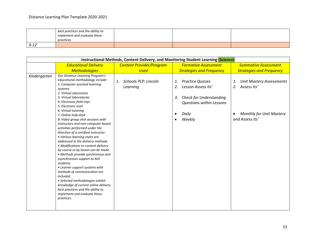|      | best practices and the ability to<br>implement and evaluate these<br>practices. |  |  |
|------|---------------------------------------------------------------------------------|--|--|
| 9-12 |                                                                                 |  |  |

|              | Instructional Methods, Content Delivery, and Monitoring Student Learning (Science)                                                                                                                                                                                                                                                                                                                                                                                                                                                                                                                                                                                                                                                                                                                                                                                                                            |                                        |                                                                                                                                                                                   |                                                                                                                  |  |  |  |
|--------------|---------------------------------------------------------------------------------------------------------------------------------------------------------------------------------------------------------------------------------------------------------------------------------------------------------------------------------------------------------------------------------------------------------------------------------------------------------------------------------------------------------------------------------------------------------------------------------------------------------------------------------------------------------------------------------------------------------------------------------------------------------------------------------------------------------------------------------------------------------------------------------------------------------------|----------------------------------------|-----------------------------------------------------------------------------------------------------------------------------------------------------------------------------------|------------------------------------------------------------------------------------------------------------------|--|--|--|
|              | <b>Educational Delivery</b>                                                                                                                                                                                                                                                                                                                                                                                                                                                                                                                                                                                                                                                                                                                                                                                                                                                                                   | <b>Content Provider/Program</b>        | <b>Formative Assessment</b>                                                                                                                                                       | <b>Summative Assessment</b>                                                                                      |  |  |  |
|              | <b>Methodologies</b>                                                                                                                                                                                                                                                                                                                                                                                                                                                                                                                                                                                                                                                                                                                                                                                                                                                                                          | <b>Used</b>                            | <b>Strategies and Frequency</b>                                                                                                                                                   | <b>Strategies and Frequency</b>                                                                                  |  |  |  |
| Kindergarten | Our Distance Learning Program's<br>educational methodology include:<br>1. Computer assisted learning<br>systems<br>2. Virtual classrooms<br>3. Virtual laboratories<br>4. Electronic field trips<br>5. Electronic mail<br>6. Virtual tutoring<br>7. Online help desk<br>8. Video group chat sessions with<br>instructors and non-computer based<br>activities performed under the<br>direction of a certified instructor.<br>• Various learning styles are<br>addressed in the delivery methods.<br>• Modifications to content delivery<br>by course or by lesson can be made.<br>• Methods provide synchronous and<br>asynchronous support to AOI<br>students.<br>• Learner support systems with<br>methods of communication are<br>included.<br>• Selected methodologies exhibit<br>knowledge of current online delivery<br>best practices and the ability to<br>implement and evaluate these<br>practices. | Schools PLP: Lincoln<br>1.<br>Learning | <b>Practice Quizzes</b><br>1.<br>Lesson Assess Its'<br>2.<br><b>Check for Understanding</b><br>3.<br><b>Questions within Lessons</b><br>Daily<br>$\bullet$<br>Weekly<br>$\bullet$ | <b>Unit Mastery Assessments</b><br>1.<br>2.<br>Assess Its'<br><b>Monthly for Unit Mastery</b><br>and Assess Its' |  |  |  |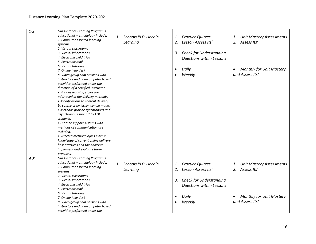| $1 - 3$ | Our Distance Learning Program's<br>educational methodology include:<br>1. Computer assisted learning<br>systems<br>2. Virtual classrooms<br>3. Virtual laboratories<br>4. Electronic field trips                                                                                                                                                                                                                                                                                                                                                                                                                                                                                            | 1. | <b>Schools PLP: Lincoln</b><br>Learning | 1.<br>2.<br>3.              | <b>Practice Quizzes</b><br>Lesson Assess Its'<br><b>Check for Understanding</b><br><b>Questions within Lessons</b>                    | 1.<br>2.              | <b>Unit Mastery Assessments</b><br>Assess Its'                                                       |
|---------|---------------------------------------------------------------------------------------------------------------------------------------------------------------------------------------------------------------------------------------------------------------------------------------------------------------------------------------------------------------------------------------------------------------------------------------------------------------------------------------------------------------------------------------------------------------------------------------------------------------------------------------------------------------------------------------------|----|-----------------------------------------|-----------------------------|---------------------------------------------------------------------------------------------------------------------------------------|-----------------------|------------------------------------------------------------------------------------------------------|
|         | 5. Electronic mail<br>6. Virtual tutoring<br>7. Online help desk<br>8. Video group chat sessions with<br>instructors and non-computer based<br>activities performed under the<br>direction of a certified instructor.<br>• Various learning styles are<br>addressed in the delivery methods.<br>• Modifications to content delivery<br>by course or by lesson can be made.<br>• Methods provide synchronous and<br>asynchronous support to AOI<br>students.<br>• Learner support systems with<br>methods of communication are<br>included.<br>• Selected methodologies exhibit<br>knowledge of current online delivery<br>best practices and the ability to<br>implement and evaluate these |    |                                         | $\bullet$<br>$\bullet$      | Daily<br>Weekly                                                                                                                       | $\bullet$             | <b>Monthly for Unit Mastery</b><br>and Assess Its'                                                   |
| $4-6$   | practices.<br>Our Distance Learning Program's<br>educational methodology include:<br>1. Computer assisted learning<br>systems<br>2. Virtual classrooms<br>3. Virtual laboratories<br>4. Electronic field trips<br>5. Electronic mail<br>6. Virtual tutoring<br>7. Online help desk<br>8. Video group chat sessions with<br>instructors and non-computer based<br>activities performed under the                                                                                                                                                                                                                                                                                             | 1. | <b>Schools PLP: Lincoln</b><br>Learning | 1.<br>2.<br>3.<br>$\bullet$ | <b>Practice Quizzes</b><br>Lesson Assess Its'<br><b>Check for Understanding</b><br><b>Questions within Lessons</b><br>Daily<br>Weekly | 1.<br>2.<br>$\bullet$ | <b>Unit Mastery Assessments</b><br>Assess Its'<br><b>Monthly for Unit Mastery</b><br>and Assess Its' |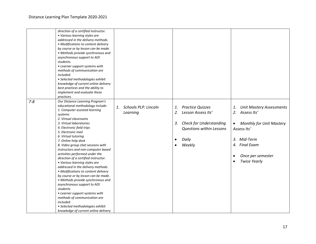|         | direction of a certified instructor.<br>• Various learning styles are<br>addressed in the delivery methods.<br>• Modifications to content delivery<br>by course or by lesson can be made.<br>• Methods provide synchronous and<br>asynchronous support to AOI<br>students.<br>• Learner support systems with<br>methods of communication are<br>included.<br>· Selected methodologies exhibit<br>knowledge of current online delivery<br>best practices and the ability to<br>implement and evaluate these<br>practices.                                                                                                                                                                                                                                                                                                   |                                               |                                                                                                                                                                                   |                                                                                                                                                                                                          |
|---------|----------------------------------------------------------------------------------------------------------------------------------------------------------------------------------------------------------------------------------------------------------------------------------------------------------------------------------------------------------------------------------------------------------------------------------------------------------------------------------------------------------------------------------------------------------------------------------------------------------------------------------------------------------------------------------------------------------------------------------------------------------------------------------------------------------------------------|-----------------------------------------------|-----------------------------------------------------------------------------------------------------------------------------------------------------------------------------------|----------------------------------------------------------------------------------------------------------------------------------------------------------------------------------------------------------|
| $7 - 8$ | Our Distance Learning Program's<br>educational methodology include:<br>1. Computer assisted learning<br>systems<br>2. Virtual classrooms<br>3. Virtual laboratories<br>4. Electronic field trips<br>5. Electronic mail<br>6. Virtual tutoring<br>7. Online help desk<br>8. Video group chat sessions with<br>instructors and non-computer based<br>activities performed under the<br>direction of a certified instructor.<br>• Various learning styles are<br>addressed in the delivery methods.<br>• Modifications to content delivery<br>by course or by lesson can be made.<br>• Methods provide synchronous and<br>asynchronous support to AOI<br>students.<br>• Learner support systems with<br>methods of communication are<br>included.<br>• Selected methodologies exhibit<br>knowledge of current online delivery | <b>Schools PLP: Lincoln</b><br>1.<br>Learning | <b>Practice Quizzes</b><br>1.<br>Lesson Assess Its'<br>2.<br><b>Check for Understanding</b><br>3.<br><b>Questions within Lessons</b><br>Daily<br>$\bullet$<br>Weekly<br>$\bullet$ | <b>Unit Mastery Assessments</b><br>1.<br>2.<br>Assess Its'<br><b>Monthly for Unit Mastery</b><br>$\bullet$<br>Assess Its'<br>Mid-Term<br>3.<br>4. Final Exam<br>Once per semester<br><b>Twice Yearly</b> |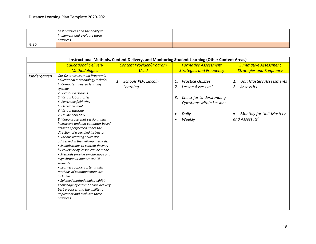|          | best practices and the ability to<br>implement and evaluate these<br>practices. |  |  |
|----------|---------------------------------------------------------------------------------|--|--|
| $9 - 12$ |                                                                                 |  |  |

| Instructional Methods, Content Delivery, and Monitoring Student Learning (Other Content Areas) |                                                                                                                                                                                                                                                                                                                                                                                                                                                                                                                                                                                                                                                                                                                                                                                                                                                                                                               |                                        |                                                                                                                                                                                   |                                                                                                                  |  |  |  |
|------------------------------------------------------------------------------------------------|---------------------------------------------------------------------------------------------------------------------------------------------------------------------------------------------------------------------------------------------------------------------------------------------------------------------------------------------------------------------------------------------------------------------------------------------------------------------------------------------------------------------------------------------------------------------------------------------------------------------------------------------------------------------------------------------------------------------------------------------------------------------------------------------------------------------------------------------------------------------------------------------------------------|----------------------------------------|-----------------------------------------------------------------------------------------------------------------------------------------------------------------------------------|------------------------------------------------------------------------------------------------------------------|--|--|--|
|                                                                                                | <b>Educational Delivery</b>                                                                                                                                                                                                                                                                                                                                                                                                                                                                                                                                                                                                                                                                                                                                                                                                                                                                                   | <b>Content Provider/Program</b>        | <b>Formative Assessment</b>                                                                                                                                                       | <b>Summative Assessment</b>                                                                                      |  |  |  |
|                                                                                                | <b>Methodologies</b>                                                                                                                                                                                                                                                                                                                                                                                                                                                                                                                                                                                                                                                                                                                                                                                                                                                                                          | <b>Used</b>                            | <b>Strategies and Frequency</b>                                                                                                                                                   | <b>Strategies and Frequency</b>                                                                                  |  |  |  |
| Kindergarten                                                                                   | Our Distance Learning Program's<br>educational methodology include:<br>1. Computer assisted learning<br>systems<br>2. Virtual classrooms<br>3. Virtual laboratories<br>4. Electronic field trips<br>5. Electronic mail<br>6. Virtual tutoring<br>7. Online help desk<br>8. Video group chat sessions with<br>instructors and non-computer based<br>activities performed under the<br>direction of a certified instructor.<br>• Various learning styles are<br>addressed in the delivery methods.<br>• Modifications to content delivery<br>by course or by lesson can be made.<br>• Methods provide synchronous and<br>asynchronous support to AOI<br>students.<br>• Learner support systems with<br>methods of communication are<br>included.<br>• Selected methodologies exhibit<br>knowledge of current online delivery<br>best practices and the ability to<br>implement and evaluate these<br>practices. | Schools PLP: Lincoln<br>1.<br>Learning | <b>Practice Quizzes</b><br>1.<br>2.<br>Lesson Assess Its'<br><b>Check for Understanding</b><br>3.<br><b>Questions within Lessons</b><br>Daily<br>$\bullet$<br>Weekly<br>$\bullet$ | <b>Unit Mastery Assessments</b><br>1.<br>2.<br>Assess Its'<br><b>Monthly for Unit Mastery</b><br>and Assess Its' |  |  |  |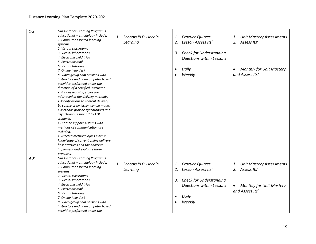| $1 - 3$ | Our Distance Learning Program's<br>educational methodology include:<br>1. Computer assisted learning<br>systems<br>2. Virtual classrooms<br>3. Virtual laboratories<br>4. Electronic field trips<br>5. Electronic mail                                                                                                                                                                                                                                                                                                                                                                                                                                                              | 1. | <b>Schools PLP: Lincoln</b><br>Learning | 1.<br>2.<br>3.              | <b>Practice Quizzes</b><br>Lesson Assess Its'<br><b>Check for Understanding</b><br><b>Questions within Lessons</b>                    | 1.<br>2.        | <b>Unit Mastery Assessments</b><br>Assess Its'                                                          |
|---------|-------------------------------------------------------------------------------------------------------------------------------------------------------------------------------------------------------------------------------------------------------------------------------------------------------------------------------------------------------------------------------------------------------------------------------------------------------------------------------------------------------------------------------------------------------------------------------------------------------------------------------------------------------------------------------------|----|-----------------------------------------|-----------------------------|---------------------------------------------------------------------------------------------------------------------------------------|-----------------|---------------------------------------------------------------------------------------------------------|
|         | 6. Virtual tutoring<br>7. Online help desk<br>8. Video group chat sessions with<br>instructors and non-computer based<br>activities performed under the<br>direction of a certified instructor.<br>• Various learning styles are<br>addressed in the delivery methods.<br>• Modifications to content delivery<br>by course or by lesson can be made.<br>• Methods provide synchronous and<br>asynchronous support to AOI<br>students.<br>• Learner support systems with<br>methods of communication are<br>included.<br>· Selected methodologies exhibit<br>knowledge of current online delivery<br>best practices and the ability to<br>implement and evaluate these<br>practices. |    |                                         | $\bullet$                   | Daily<br>Weekly                                                                                                                       |                 | <b>Monthly for Unit Mastery</b><br>and Assess Its'                                                      |
| $4 - 6$ | Our Distance Learning Program's<br>educational methodology include:<br>1. Computer assisted learning<br>systems<br>2. Virtual classrooms<br>3. Virtual laboratories<br>4. Electronic field trips<br>5. Electronic mail<br>6. Virtual tutoring<br>7. Online help desk<br>8. Video group chat sessions with<br>instructors and non-computer based<br>activities performed under the                                                                                                                                                                                                                                                                                                   | 1. | Schools PLP: Lincoln<br>Learning        | 1.<br>2.<br>3.<br>$\bullet$ | <b>Practice Quizzes</b><br>Lesson Assess Its'<br><b>Check for Understanding</b><br><b>Questions within Lessons</b><br>Daily<br>Weekly | 1.<br>$\bullet$ | <b>Unit Mastery Assessments</b><br>2. Assess Its'<br><b>Monthly for Unit Mastery</b><br>and Assess Its' |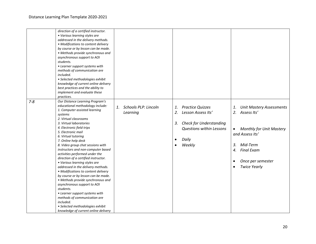| direction of a certified instructor.<br>• Various learning styles are<br>addressed in the delivery methods.<br>• Modifications to content delivery<br>by course or by lesson can be made.<br>• Methods provide synchronous and<br>asynchronous support to AOI<br>• Learner support systems with<br>methods of communication are<br>· Selected methodologies exhibit<br>knowledge of current online delivery                                                                                                                                                                                                |                                                                                                                                                                                   |                                                                                                                                                                                                                        |
|------------------------------------------------------------------------------------------------------------------------------------------------------------------------------------------------------------------------------------------------------------------------------------------------------------------------------------------------------------------------------------------------------------------------------------------------------------------------------------------------------------------------------------------------------------------------------------------------------------|-----------------------------------------------------------------------------------------------------------------------------------------------------------------------------------|------------------------------------------------------------------------------------------------------------------------------------------------------------------------------------------------------------------------|
|                                                                                                                                                                                                                                                                                                                                                                                                                                                                                                                                                                                                            |                                                                                                                                                                                   |                                                                                                                                                                                                                        |
| implement and evaluate these                                                                                                                                                                                                                                                                                                                                                                                                                                                                                                                                                                               |                                                                                                                                                                                   |                                                                                                                                                                                                                        |
|                                                                                                                                                                                                                                                                                                                                                                                                                                                                                                                                                                                                            |                                                                                                                                                                                   |                                                                                                                                                                                                                        |
| Our Distance Learning Program's<br>educational methodology include:<br>1.<br>1. Computer assisted learning<br>Learning<br>8. Video group chat sessions with<br>instructors and non-computer based<br>activities performed under the<br>direction of a certified instructor.<br>• Various learning styles are<br>addressed in the delivery methods.<br>• Modifications to content delivery<br>by course or by lesson can be made.<br>• Methods provide synchronous and<br>asynchronous support to AOI<br>• Learner support systems with<br>methods of communication are<br>• Selected methodologies exhibit | <b>Practice Quizzes</b><br>1.<br>2.<br>Lesson Assess Its'<br><b>Check for Understanding</b><br>3.<br><b>Questions within Lessons</b><br>Daily<br>$\bullet$<br>Weekly<br>$\bullet$ | <b>Unit Mastery Assessments</b><br>1.<br>2.<br>Assess Its'<br><b>Monthly for Unit Mastery</b><br>$\bullet$<br>and Assess Its'<br>3.<br>Mid-Term<br><b>Final Exam</b><br>4.<br>Once per semester<br><b>Twice Yearly</b> |
|                                                                                                                                                                                                                                                                                                                                                                                                                                                                                                                                                                                                            | best practices and the ability to<br>knowledge of current online delivery                                                                                                         | <b>Schools PLP: Lincoln</b>                                                                                                                                                                                            |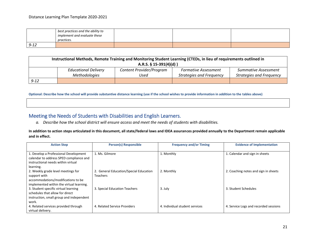|          | best practices and the ability to<br>implement and evaluate these |  |  |
|----------|-------------------------------------------------------------------|--|--|
|          | practices.                                                        |  |  |
| $9 - 12$ |                                                                   |  |  |

| Instructional Methods, Remote Training and Monitoring Student Learning (CTEDs, in lieu of requirements outlined in<br>A.R.S. $\S$ 15-391(4)(d)) |                             |                          |                                 |                                 |  |
|-------------------------------------------------------------------------------------------------------------------------------------------------|-----------------------------|--------------------------|---------------------------------|---------------------------------|--|
|                                                                                                                                                 | <b>Educational Delivery</b> | Content Provider/Program | <b>Formative Assessment</b>     | <b>Summative Assessment</b>     |  |
|                                                                                                                                                 | Methodologies               | Used                     | <b>Strategies and Frequency</b> | <b>Strategies and Frequency</b> |  |
| $9 - 12$                                                                                                                                        |                             |                          |                                 |                                 |  |

**Optional: Describe how the school will provide substantive distance learning (use if the school wishes to provide information in addition to the tables above)**

# Meeting the Needs of Students with Disabilities and English Learners.

*a. Describe how the school district will ensure access and meet the needs of students with disabilities.*

**In addition to action steps articulated in this document, all state/federal laws and IDEA assurances provided annually to the Department remain applicable and in effect.**

| <b>Action Step</b>                                                                                                     | <b>Person(s) Responsible</b>                              | <b>Frequency and/or Timing</b> | <b>Evidence of Implementation</b>     |  |
|------------------------------------------------------------------------------------------------------------------------|-----------------------------------------------------------|--------------------------------|---------------------------------------|--|
| 1. Develop a Professional Development<br>calendar to address SPED compliance and<br>instructional needs within virtual | 1. Ms. Gilmore                                            | 1. Monthly                     | 1. Calendar and sign in sheets        |  |
| learning.<br>2. Weekly grade level meetings for<br>support with<br>accommodations/modifications to be                  | 2. General Education/Special Education<br><b>Teachers</b> | 2. Monthly                     | 2. Coaching notes and sign in sheets  |  |
| implemented within the virtual learning.<br>3. Student specific virtual learning<br>schedules that allow for direct    | 3. Special Education Teachers                             | 3. July                        | 3. Student Schedules                  |  |
| instruction, small group and independent<br>work.<br>4. Related services provided through<br>virtual delivery.         | 4. Related Service Providers                              | 4. Individual student services | 4. Service Logs and recorded sessions |  |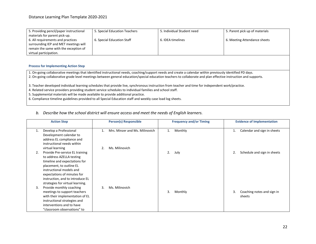| 5. Providing pencil/paper instructional | 5. Special Education Teachers | 5. Individual Student need | 5. Parent pick up of materials |
|-----------------------------------------|-------------------------------|----------------------------|--------------------------------|
| materials for parent pick-up.           |                               |                            |                                |
| 6. All requirements and practices       | 6. Special Education Staff    | 6. IDEA timelines          | 6. Meeting Attendance sheets   |
| surrounding IEP and MET meetings will   |                               |                            |                                |
| remain the same with the exception of   |                               |                            |                                |
| virtual participation.                  |                               |                            |                                |

#### **Process for Implementing Action Step**

1. On-going collaborative meetings that identified instructional needs, coaching/support needs and create a calendar within previously identified PD days.

2. On-going collaborative grade level meetings between general education/special education teachers to collaborate and plan effective instruction and supports.

3. Teacher developed individual learning schedules that provide live, synchronous instruction from teacher and time for independent work/practice.

4. Related service providers providing student service schedules to individual families and school staff.

5. Supplemental materials will be made available to provide additional practice.

6. Compliance timeline guidelines provided to all Special Education staff and weekly case load log sheets.

#### *b. Describe how the school district will ensure access and meet the needs of English learners.*

|    | <b>Person(s) Responsible</b><br><b>Action Step</b>                                                                                                                                                                                                                                             |    | <b>Frequency and/or Timing</b> |    |         | <b>Evidence of Implementation</b> |                                      |
|----|------------------------------------------------------------------------------------------------------------------------------------------------------------------------------------------------------------------------------------------------------------------------------------------------|----|--------------------------------|----|---------|-----------------------------------|--------------------------------------|
| 1. | Develop a Professional<br>Development calendar to<br>address EL compliance and<br>instructional needs within                                                                                                                                                                                   | 1. | Mrs. Minzer and Ms. Milinovich | 1. | Monthly | 1.                                | Calendar and sign in sheets          |
| 2. | virtual learning<br>Provide Pre-service EL training<br>to address AZELLA testing<br>timeline and expectations for<br>placement, to outline EL<br>instructional models and                                                                                                                      |    | Ms. Milinovich                 | 2. | July    | 2.                                | Schedule and sign in sheets          |
| 3. | expectations of minutes for<br>instruction, and to introduce EL<br>strategies for virtual learning.<br>Provide monthly coaching<br>meetings to support teachers<br>with their implementation of EL<br>instructional strategies and<br>interventions and to have<br>"classroom observations" to | 3. | Ms. Milinovich                 | 3. | Monthly | 3.                                | Coaching notes and sign in<br>sheets |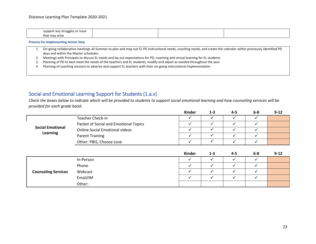| the contract of the contract of the contract of<br>suppor<br>or issue<br>. an<br>ruggles<br>ັບບ |  |  |
|-------------------------------------------------------------------------------------------------|--|--|
| that<br>ov arise i                                                                              |  |  |

**Process for Implementing Action Step**

- 1. On-going collaborative meetings all Summer to plan and map out EL PD instructional needs, coaching needs, and create the calendar within previously identified PD days and within the Master schedules.
- 2. Meetings with Principals to discuss EL needs and lay out expectations for PD, coaching and virtual learning for EL students
- 3. Planning of PD to best meet the needs of the teachers and EL students, modify and adjust as needed throughout the year
- 4. Planning of coaching sessions to observe and support EL teachers with their on-going instructional implementation

## Social and Emotional Learning Support for Students (1.a.v)

*Check the boxes below to indicate which will be provided to students to support social emotional learning and how counseling services will be provided for each grade band.*

|                                                                  |                                       | Kinder | 1-3 | 4-5 | 6-8 | $9 - 12$ |
|------------------------------------------------------------------|---------------------------------------|--------|-----|-----|-----|----------|
| <b>Teacher Check-in</b><br>Packet of Social and Emotional Topics |                                       |        |     |     |     |          |
|                                                                  |                                       |        |     |     |     |          |
| <b>Social Emotional</b>                                          | <b>Online Social Emotional videos</b> |        |     |     |     |          |
| Learning                                                         | Parent Training                       |        |     |     |     |          |
|                                                                  | Other: PBIS, Choose Love              |        |     |     |     |          |
|                                                                  |                                       |        |     |     |     |          |

|                            |           | Kinder | $1 - 3$ | $4 - 5$ | $6-8$ | $9 - 12$ |
|----------------------------|-----------|--------|---------|---------|-------|----------|
| <b>Counseling Services</b> | In-Person |        |         |         |       |          |
|                            | Phone     |        |         |         |       |          |
|                            | Webcast   |        |         |         |       |          |
|                            | Email/IM  |        |         |         |       |          |
|                            | Other:    |        |         |         |       |          |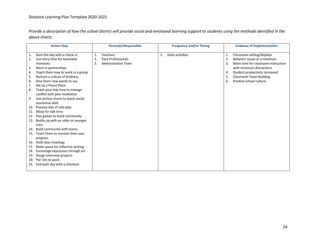*Provide a description of how the school district will provide social and emotional learning support to students using the methods identified in the above charts.*

|     | <b>Action Step</b>                 |    | <b>Person(s) Responsible</b> |    | <b>Frequency and/or Timing</b> |    | <b>Evidence of Implementation</b>   |
|-----|------------------------------------|----|------------------------------|----|--------------------------------|----|-------------------------------------|
| 1.  | Start the day with a check-in.     | 1. | Teachers                     | 1. | Daily activities               | 1. | Classroom setting/displays          |
| 2.  | Use story time for teachable       | 2. | Para-Professionals           |    |                                | 2. | Behavior issues at a minimum        |
|     | moments                            | 3. | Administrative Team          |    |                                | 3. | More time for classroom instruction |
| 3.  | Work in partnerships               |    |                              |    |                                |    | with minimum distractions           |
| 4.  | Teach them how to work in a group  |    |                              |    |                                | 4. | Student productivity increased      |
| 5.  | Nurture a culture of kindness      |    |                              |    |                                | 5. | <b>Classroom Team-Building</b>      |
| 6.  | Give them new words to say         |    |                              |    |                                | 6. | Positive school culture             |
| 7.  | Set up a Peace Place               |    |                              |    |                                |    |                                     |
| 8.  | Teach your kids how to manage      |    |                              |    |                                |    |                                     |
|     | conflict with peer mediation       |    |                              |    |                                |    |                                     |
| 9.  | Use anchor charts to teach social- |    |                              |    |                                |    |                                     |
|     | emotional skills                   |    |                              |    |                                |    |                                     |
| 10. | Practice lots of role-play         |    |                              |    |                                |    |                                     |
| 11. | Allow for talk time                |    |                              |    |                                |    |                                     |
| 12. | Play games to build community      |    |                              |    |                                |    |                                     |
| 13. | Buddy up with an older or younger  |    |                              |    |                                |    |                                     |
|     | class                              |    |                              |    |                                |    |                                     |
| 14. | Build community with teams         |    |                              |    |                                |    |                                     |
| 15. | Teach them to monitor their own    |    |                              |    |                                |    |                                     |
|     | progress                           |    |                              |    |                                |    |                                     |
| 16. | Hold class meetings                |    |                              |    |                                |    |                                     |
| 17. | Make space for reflective writing  |    |                              |    |                                |    |                                     |
| 18. | Encourage expression through art   |    |                              |    |                                |    |                                     |
| 19. | Assign interview projects          |    |                              |    |                                |    |                                     |
| 20. | Put 'em to work                    |    |                              |    |                                |    |                                     |
| 21. | End each day with a checkout       |    |                              |    |                                |    |                                     |
|     |                                    |    |                              |    |                                |    |                                     |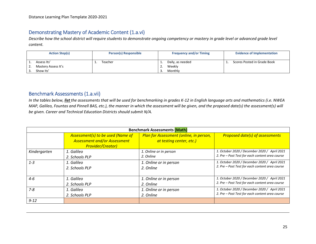# Demonstrating Mastery of Academic Content (1.a.vi)

*Describe how the school district will require students to demonstrate ongoing competency or mastery in grade level or advanced grade level content.*

|    | <b>Action Step(s)</b>                           | <b>Person(s) Responsible</b> |                            | <b>Frequency and/or Timing</b>        | <b>Evidence of Implementation</b> |
|----|-------------------------------------------------|------------------------------|----------------------------|---------------------------------------|-----------------------------------|
| L. | Assess Its'<br>Mastery Assess It's<br>Show Its' | Teacher                      | ᆠ.<br><u>.</u><br><u>.</u> | Daily, as needed<br>Weekly<br>Monthly | Scores Posted in Grade Book       |

# Benchmark Assessments (1.a.vii)

*In the tables below, list the assessments that will be used for benchmarking in grades K-12 in English language arts and mathematics (i.e. NWEA MAP, Galileo, Fountas and Pinnell BAS, etc.), the manner in which the assessment will be given, and the proposed date(s) the assessment(s) will be given. Career and Technical Education Districts should submit N/A.* 

| <b>Benchmark Assessments (Math)</b> |                                                                                                      |                                                                     |                                                 |  |  |  |  |
|-------------------------------------|------------------------------------------------------------------------------------------------------|---------------------------------------------------------------------|-------------------------------------------------|--|--|--|--|
|                                     | Assessment(s) to be used (Name of<br><b>Assessment and/or Assessment</b><br><b>Provider/Creator)</b> | Plan for Assessment (online, in person,<br>at testing center, etc.) | <b>Proposed date(s) of assessments</b>          |  |  |  |  |
| Kindergarten                        | 1. Galileo                                                                                           | 1. Online or in person                                              | 1. October 2020 / December 2020 / April 2021    |  |  |  |  |
|                                     | 2. Schools PLP                                                                                       | 2. Online                                                           | 2. Pre - Post Test for each content area course |  |  |  |  |
| $1 - 3$                             | 1. Galileo                                                                                           | 1. Online or in person                                              | 1. October 2020 / December 2020 / April 2021    |  |  |  |  |
|                                     | 2. Schools PLP                                                                                       | 2. Online                                                           | 2. Pre - Post Test for each content area course |  |  |  |  |
| $4 - 6$                             | 1. Galileo                                                                                           | 1. Online or in person                                              | 1. October 2020 / December 2020 / April 2021    |  |  |  |  |
|                                     | 2. Schools PLP                                                                                       | 2. Online                                                           | 2. Pre - Post Test for each content area course |  |  |  |  |
| $7 - 8$                             | 1. Galileo                                                                                           | 1. Online or in person                                              | 1. October 2020 / December 2020 / April 2021    |  |  |  |  |
|                                     | 2. Schools PLP                                                                                       | 2. Online                                                           | 2. Pre - Post Test for each content area course |  |  |  |  |
| $9 - 12$                            |                                                                                                      |                                                                     |                                                 |  |  |  |  |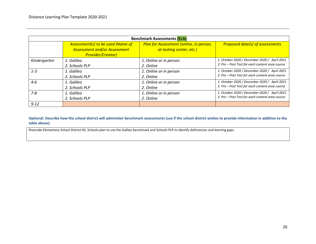| <b>Benchmark Assessments (ELA)</b> |                                                                                                      |                                                                     |                                                 |  |  |  |  |
|------------------------------------|------------------------------------------------------------------------------------------------------|---------------------------------------------------------------------|-------------------------------------------------|--|--|--|--|
|                                    | Assessment(s) to be used (Name of<br><b>Assessment and/or Assessment</b><br><b>Provider/Creator)</b> | Plan for Assessment (online, in person,<br>at testing center, etc.) | <b>Proposed date(s) of assessments</b>          |  |  |  |  |
| Kindergarten                       | 1. Galileo                                                                                           | 1. Online or in person                                              | 1. October 2020 / December 2020 / April 2021    |  |  |  |  |
|                                    | 2. Schools PLP                                                                                       | 2. Online                                                           | 2. Pre - Post Test for each content area course |  |  |  |  |
| $1 - 3$                            | 1. Galileo                                                                                           | 1. Online or in person                                              | 1. October 2020 / December 2020 / April 2021    |  |  |  |  |
|                                    | 2. Schools PLP                                                                                       | 2. Online                                                           | 2. Pre - Post Test for each content area course |  |  |  |  |
| $4 - 6$                            | 1. Galileo                                                                                           | 1. Online or in person                                              | 1. October 2020 / December 2020 / April 2021    |  |  |  |  |
|                                    | 2. Schools PLP                                                                                       | 2. Online                                                           | 2. Pre - Post Test for each content area course |  |  |  |  |
| $7 - 8$                            | 1. Galileo                                                                                           | 1. Online or in person                                              | 1. October 2020 / December 2020 / April 2021    |  |  |  |  |
|                                    | 2. Schools PLP                                                                                       | 2. Online                                                           | 2. Pre - Post Test for each content area course |  |  |  |  |
| $9 - 12$                           |                                                                                                      |                                                                     |                                                 |  |  |  |  |

**Optional: Describe how the school district will administer benchmark assessments (use if the school district wishes to provide information in addition to the table above).**

Riverside Elementary School District #2, Schools plan to use the Galileo benchmark and Schools PLP to identify deficiencies and learning gaps.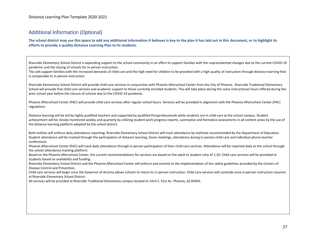# Additional Information (Optional)

**The school district may use this space to add any additional information it believes is key to the plan it has laid out in this document, or to highlight its efforts to provide a quality Distance Learning Plan to its students.**

Riverside Elementary School District is expending support to the school community in an effort to support families with the unprecedented changes due to the current COVID-19 pandemic and the closing of schools for in-person instruction.

This will support families with the increased demands of child care and the high need for children to be provided with a high quality of instruction through distance learning that is comparable to in-person instruction.

Riverside Elementary School District will provide child care services in conjunction with Phoenix Afterschool Center from the City of Phoenix. Riverside Traditional Elementary School will provide free child care services and academic support to those currently enrolled students. This will take place during the same instructional hours offered during the prior school year before the closure of schools due to the COVID-19 pandemic.

Phoenix Afterschool Center (PAC) will provide child care services after regular school hours. Services will be provided in alignment with the Phoenix Afterschool Center (PAC) regulations.

Distance learning will be led by highly qualified teachers and supported by qualified Paraprofessionals while students are in child care at the school campus. Student achievement will be closely monitored weekly and quarterly by utilizing student work progress reports, summative and formative assessments in all content areas by the use of the distance learning platform adopted by the school district.

Both entities will enforce daily attendance reporting. Riverside Elementary School District will track attendance by methods recommended by the Department of Education. Student attendance will be tracked through the participation of distance learning, Zoom meetings, attendance during in-person child care and individual phone teacher conferences.

Phoenix Afterschool Center (PAC) will track daily attendance through in person participation of their child care services. Attendance will be reported daily to the school through the school attendance tracking platform.

Based on the Phoenix Afterschool Center, the current recommendations for services are based on the adult to student ratio of 1:10. Child care services will be provided to students based on availability and funding.

Riverside Elementary School District and the Phoenix Afterschool Center will enforce and commit to the implementation of the safety guidelines provided by the Centers of Disease Control and Prevention.

Child care services will begin once the Governor of Arizona allows schools to return to in-person instruction. Child care services will conclude once in-person instruction resumes at Riverside Elementary School District.

All services will be provided at Riverside Traditional Elementary campus located at 1414 S. 51st Av. Phoenix, AZ 85043.